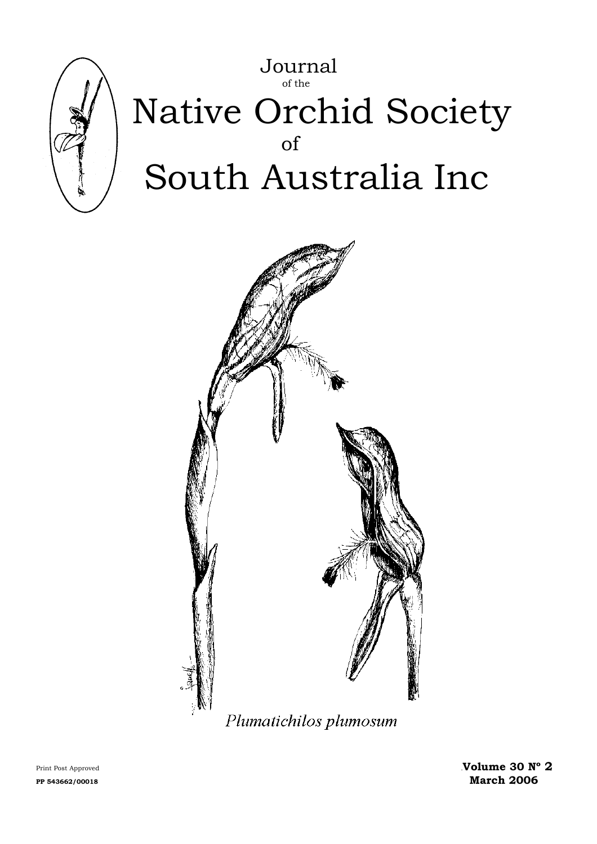



Print Post Approved **Wolume 30 N° 2** PP 543662/00018 March 2006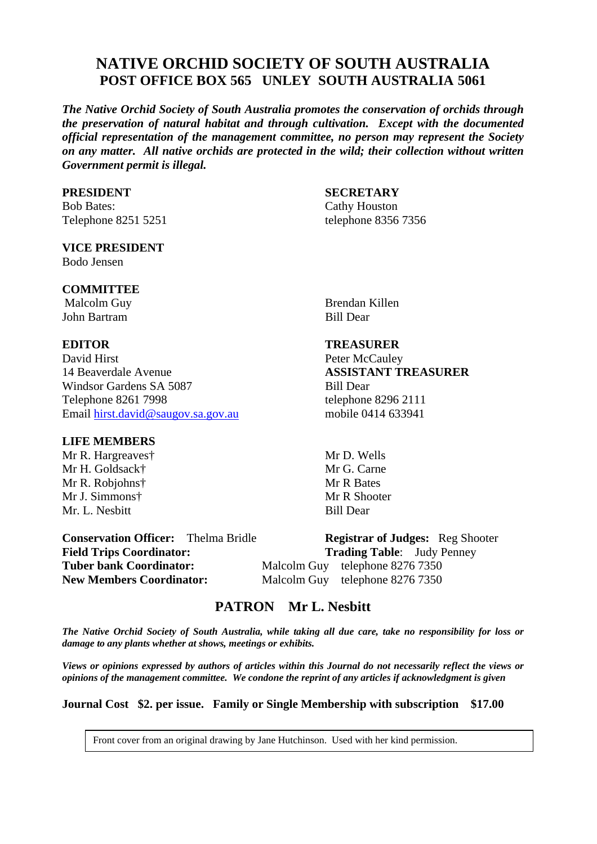# **NATIVE ORCHID SOCIETY OF SOUTH AUSTRALIA POST OFFICE BOX 565 UNLEY SOUTH AUSTRALIA 5061**

*The Native Orchid Society of South Australia promotes the conservation of orchids through the preservation of natural habitat and through cultivation. Except with the documented official representation of the management committee, no person may represent the Society on any matter. All native orchids are protected in the wild; their collection without written Government permit is illegal.* 

Bob Bates: Cathy Houston Telephone 8251 5251 telephone 8356 7356

#### **VICE PRESIDENT** Bodo Jensen

#### **COMMITTEE**

John Bartram Bill Dear

David Hirst Peter McCauley 14 Beaverdale Avenue **ASSISTANT TREASURER** Windsor Gardens SA 5087 Bill Dear Telephone 8261 7998 telephone 8296 2111 Email [hirst.david@saugov.sa.gov.au](mailto:hirst.david@saugov.sa.gov.au) mobile 0414 633941

#### **LIFE MEMBERS**

Mr R. Hargreaves† Mr D. Wells Mr H. Goldsack† Mr G. Carne Mr R. Robjohns† Mr R Bates Mr J. Simmons† Mr R Shooter Mr. L. Nesbitt Bill Dear

### **PRESIDENT SECRETARY**

Malcolm Guy **Brendan Killen** 

#### **EDITOR TREASURER**

**Conservation Officer:** Thelma Bridle **Registrar of Judges:** Reg Shooter Field Trips Coordinator: Trading Table: Judy Penney **Tuber bank Coordinator:** Malcolm Guy telephone 8276 7350 **New Members Coordinator:** Malcolm Guy telephone 8276 7350

# **PATRON Mr L. Nesbitt**

*The Native Orchid Society of South Australia, while taking all due care, take no responsibility for loss or damage to any plants whether at shows, meetings or exhibits.* 

*Views or opinions expressed by authors of articles within this Journal do not necessarily reflect the views or opinions of the management committee. We condone the reprint of any articles if acknowledgment is given* 

**Journal Cost \$2. per issue. Family or Single Membership with subscription \$17.00** 

Front cover from an original drawing by Jane Hutchinson. Used with her kind permission.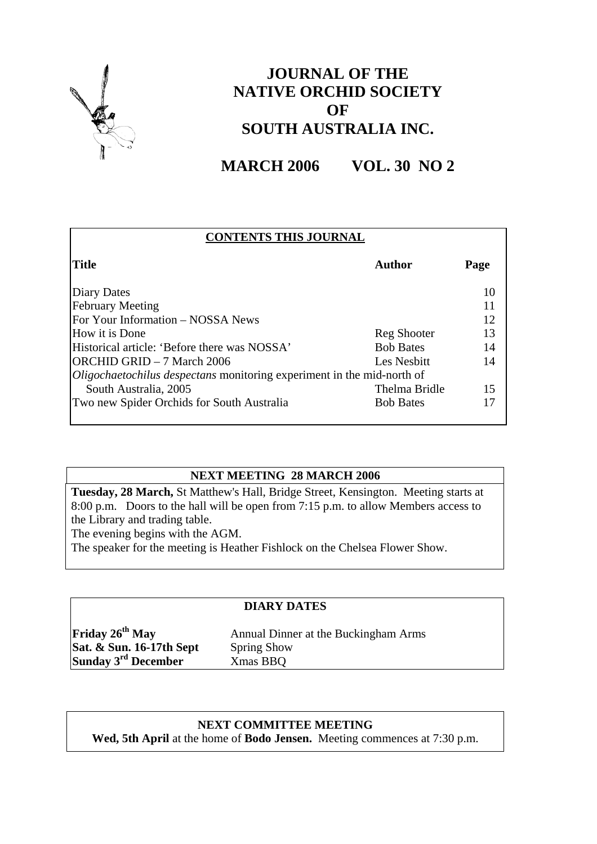

# **JOURNAL OF THE NATIVE ORCHID SOCIETY OF SOUTH AUSTRALIA INC.**

**MARCH 2006 VOL. 30 NO 2** 

| <b>CONTENTS THIS JOURNAL</b>                                           |                  |      |  |  |  |
|------------------------------------------------------------------------|------------------|------|--|--|--|
| <b>Title</b>                                                           | Author           | Page |  |  |  |
| <b>Diary Dates</b>                                                     |                  | 10   |  |  |  |
| <b>February Meeting</b>                                                |                  | 11   |  |  |  |
| For Your Information – NOSSA News                                      |                  | 12   |  |  |  |
| How it is Done                                                         | Reg Shooter      | 13   |  |  |  |
| Historical article: 'Before there was NOSSA'                           | <b>Bob Bates</b> | 14   |  |  |  |
| <b>ORCHID GRID - 7 March 2006</b>                                      | Les Nesbitt      | 14   |  |  |  |
| Oligochaetochilus despectans monitoring experiment in the mid-north of |                  |      |  |  |  |
| South Australia, 2005                                                  | Thelma Bridle    | 15   |  |  |  |
| Two new Spider Orchids for South Australia                             | <b>Bob Bates</b> |      |  |  |  |

# **NEXT MEETING 28 MARCH 2006**

**Tuesday, 28 March,** St Matthew's Hall, Bridge Street, Kensington. Meeting starts at 8:00 p.m. Doors to the hall will be open from 7:15 p.m. to allow Members access to the Library and trading table.

The evening begins with the AGM.

The speaker for the meeting is Heather Fishlock on the Chelsea Flower Show.

### **DIARY DATES**

**Sat. & Sun. 16-17th Sept** Spring Show **Sunday 3rd December** Xmas BBQ

**Friday 26<sup>th</sup> May** Annual Dinner at the Buckingham Arms

#### **NEXT COMMITTEE MEETING**

**Wed, 5th April** at the home of **Bodo Jensen.** Meeting commences at 7:30 p.m.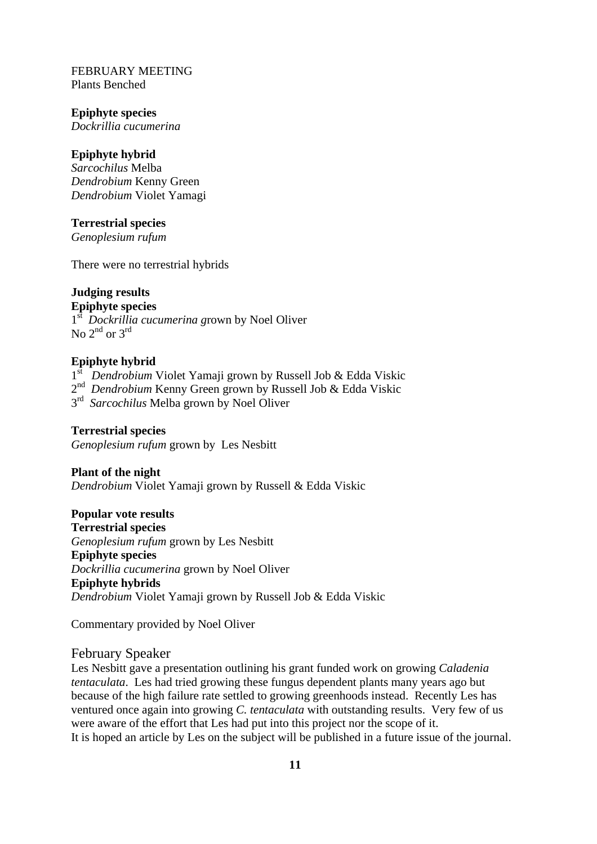FEBRUARY MEETING Plants Benched

#### **Epiphyte species**

*Dockrillia cucumerina* 

### **Epiphyte hybrid**

*Sarcochilus* Melba *Dendrobium* Kenny Green *Dendrobium* Violet Yamagi

#### **Terrestrial species**

*Genoplesium rufum* 

There were no terrestrial hybrids

### **Judging results**

### **Epiphyte species**

1st *Dockrillia cucumerina g*rown by Noel Oliver No  $2^{nd}$  or  $3^{rd}$ 

### **Epiphyte hybrid**

1<sup>st</sup> Dendrobium Violet Yamaji grown by Russell Job & Edda Viskic

2<sup>nd</sup> *Dendrobium* Kenny Green grown by Russell Job & Edda Viskic

 $3<sup>rd</sup>$  *Sarcochilus* Melba grown by Noel Oliver

#### **Terrestrial species**

*Genoplesium rufum* grown byLes Nesbitt

#### **Plant of the night**

*Dendrobium* Violet Yamaji grown by Russell & Edda Viskic

#### **Popular vote results**

**Terrestrial species**  *Genoplesium rufum* grown by Les Nesbitt **Epiphyte species**  *Dockrillia cucumerina* grown by Noel Oliver **Epiphyte hybrids**  *Dendrobium* Violet Yamaji grown by Russell Job & Edda Viskic

Commentary provided by Noel Oliver

# February Speaker

Les Nesbitt gave a presentation outlining his grant funded work on growing *Caladenia tentaculata*. Les had tried growing these fungus dependent plants many years ago but because of the high failure rate settled to growing greenhoods instead. Recently Les has ventured once again into growing *C. tentaculata* with outstanding results. Very few of us were aware of the effort that Les had put into this project nor the scope of it. It is hoped an article by Les on the subject will be published in a future issue of the journal.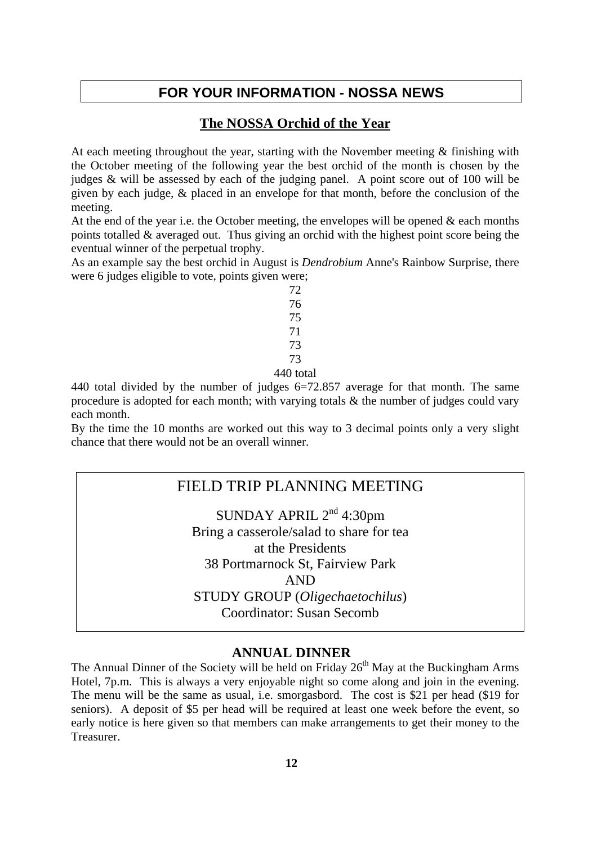# **FOR YOUR INFORMATION - NOSSA NEWS**

# **The NOSSA Orchid of the Year**

At each meeting throughout the year, starting with the November meeting  $\&$  finishing with the October meeting of the following year the best orchid of the month is chosen by the judges & will be assessed by each of the judging panel. A point score out of 100 will be given by each judge, & placed in an envelope for that month, before the conclusion of the meeting.

At the end of the year i.e. the October meeting, the envelopes will be opened  $\&$  each months points totalled & averaged out. Thus giving an orchid with the highest point score being the eventual winner of the perpetual trophy.

As an example say the best orchid in August is *Dendrobium* Anne's Rainbow Surprise, there were 6 judges eligible to vote, points given were;

440 total divided by the number of judges 6=72.857 average for that month. The same procedure is adopted for each month; with varying totals & the number of judges could vary each month.

By the time the 10 months are worked out this way to 3 decimal points only a very slight chance that there would not be an overall winner.

# FIELD TRIP PLANNING MEETING

SUNDAY APRIL  $2<sup>nd</sup>$  4:30pm Bring a casserole/salad to share for tea at the Presidents 38 Portmarnock St, Fairview Park AND STUDY GROUP (*Oligechaetochilus*) Coordinator: Susan Secomb

# **ANNUAL DINNER**

The Annual Dinner of the Society will be held on Friday  $26<sup>th</sup>$  May at the Buckingham Arms Hotel, 7p.m. This is always a very enjoyable night so come along and join in the evening. The menu will be the same as usual, i.e. smorgasbord. The cost is \$21 per head (\$19 for seniors). A deposit of \$5 per head will be required at least one week before the event, so early notice is here given so that members can make arrangements to get their money to the Treasurer.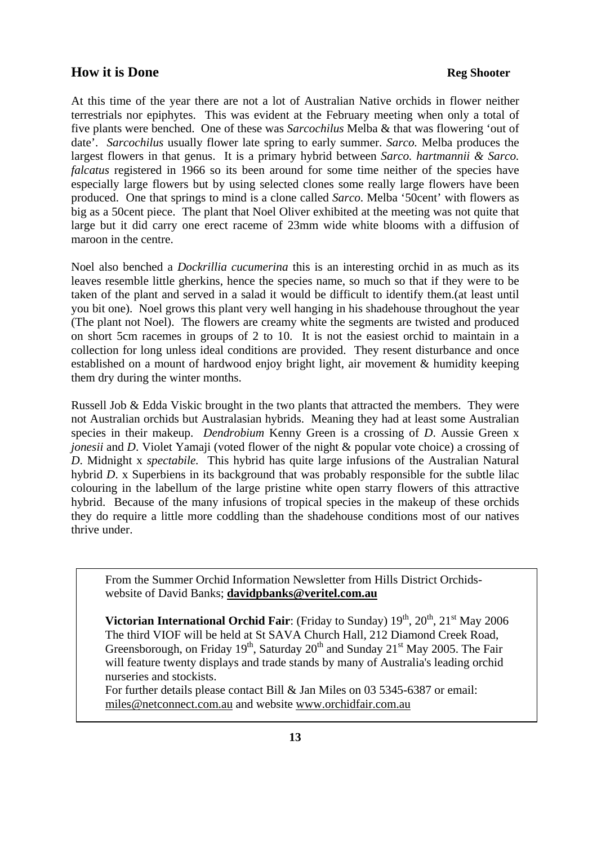### **How it is Done Reg Shooter**

At this time of the year there are not a lot of Australian Native orchids in flower neither terrestrials nor epiphytes. This was evident at the February meeting when only a total of five plants were benched. One of these was *Sarcochilus* Melba & that was flowering 'out of date'. *Sarcochilus* usually flower late spring to early summer. *Sarco.* Melba produces the largest flowers in that genus. It is a primary hybrid between *Sarco. hartmannii & Sarco. falcatus* registered in 1966 so its been around for some time neither of the species have especially large flowers but by using selected clones some really large flowers have been produced. One that springs to mind is a clone called *Sarco*. Melba '50cent' with flowers as big as a 50cent piece. The plant that Noel Oliver exhibited at the meeting was not quite that large but it did carry one erect raceme of 23mm wide white blooms with a diffusion of maroon in the centre.

Noel also benched a *Dockrillia cucumerina* this is an interesting orchid in as much as its leaves resemble little gherkins, hence the species name, so much so that if they were to be taken of the plant and served in a salad it would be difficult to identify them.(at least until you bit one). Noel grows this plant very well hanging in his shadehouse throughout the year (The plant not Noel). The flowers are creamy white the segments are twisted and produced on short 5cm racemes in groups of 2 to 10. It is not the easiest orchid to maintain in a collection for long unless ideal conditions are provided. They resent disturbance and once established on a mount of hardwood enjoy bright light, air movement & humidity keeping them dry during the winter months.

Russell Job & Edda Viskic brought in the two plants that attracted the members. They were not Australian orchids but Australasian hybrids. Meaning they had at least some Australian species in their makeup. *Dendrobium* Kenny Green is a crossing of *D*. Aussie Green x *jonesii* and *D*. Violet Yamaji (voted flower of the night & popular vote choice) a crossing of *D*. Midnight x *spectabile.* This hybrid has quite large infusions of the Australian Natural hybrid *D*. x Superbiens in its background that was probably responsible for the subtle lilac colouring in the labellum of the large pristine white open starry flowers of this attractive hybrid. Because of the many infusions of tropical species in the makeup of these orchids they do require a little more coddling than the shadehouse conditions most of our natives thrive under.

From the Summer Orchid Information Newsletter from Hills District Orchidswebsite of David Banks; **[davidpbanks@veritel.com.au](mailto:davidpbanks@veritel.com.au)**

**Victorian International Orchid Fair**: (Friday to Sunday)  $19^{th}$ ,  $20^{th}$ ,  $21^{st}$  May 2006 The third VIOF will be held at St SAVA Church Hall, 212 Diamond Creek Road, Greensborough, on Friday  $19<sup>th</sup>$ , Saturday  $20<sup>th</sup>$  and Sunday  $21<sup>st</sup>$  May 2005. The Fair will feature twenty displays and trade stands by many of Australia's leading orchid nurseries and stockists.

For further details please contact Bill & Jan Miles on 03 5345-6387 or email: [miles@netconnect.com.au](mailto:miles@netconnect.com.au) and website [www.orchidfair.com.au](http://www.orchidfair.com.au/)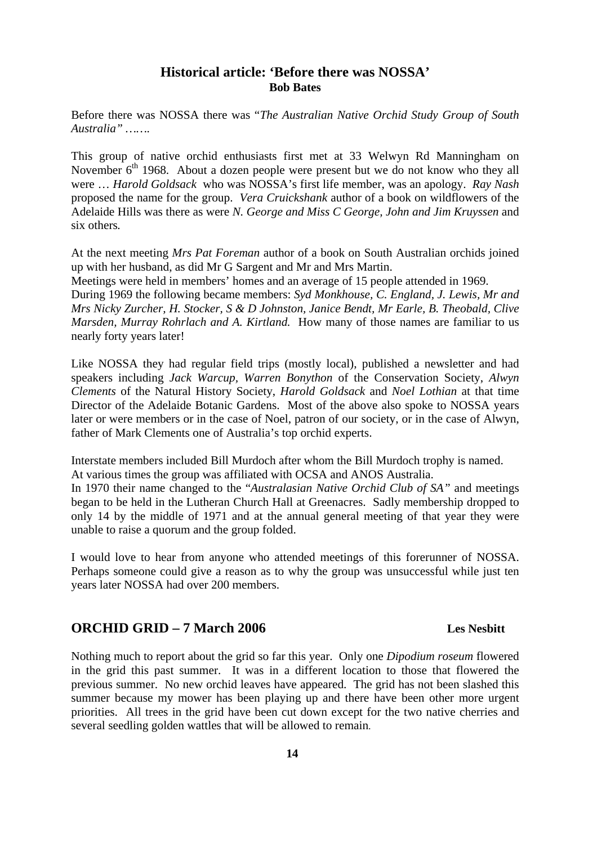# **Historical article: 'Before there was NOSSA' Bob Bates**

Before there was NOSSA there was "*The Australian Native Orchid Study Group of South Australia" …….* 

This group of native orchid enthusiasts first met at 33 Welwyn Rd Manningham on November 6<sup>th</sup> 1968. About a dozen people were present but we do not know who they all were … *Harold Goldsack* who was NOSSA's first life member, was an apology. *Ray Nash* proposed the name for the group. *Vera Cruickshank* author of a book on wildflowers of the Adelaide Hills was there as were *N. George and Miss C George, John and Jim Kruyssen* and six others*.* 

At the next meeting *Mrs Pat Foreman* author of a book on South Australian orchids joined up with her husband, as did Mr G Sargent and Mr and Mrs Martin.

Meetings were held in members' homes and an average of 15 people attended in 1969. During 1969 the following became members: *Syd Monkhouse, C. England, J. Lewis, Mr and Mrs Nicky Zurcher, H. Stocker, S & D Johnston, Janice Bendt, Mr Earle, B. Theobald, Clive Marsden, Murray Rohrlach and A. Kirtland.* How many of those names are familiar to us nearly forty years later!

Like NOSSA they had regular field trips (mostly local), published a newsletter and had speakers including *Jack Warcup, Warren Bonython* of the Conservation Society, *Alwyn Clements* of the Natural History Society, *Harold Goldsack* and *Noel Lothian* at that time Director of the Adelaide Botanic Gardens. Most of the above also spoke to NOSSA years later or were members or in the case of Noel, patron of our society, or in the case of Alwyn, father of Mark Clements one of Australia's top orchid experts.

Interstate members included Bill Murdoch after whom the Bill Murdoch trophy is named. At various times the group was affiliated with OCSA and ANOS Australia.

In 1970 their name changed to the "*Australasian Native Orchid Club of SA"* and meetings began to be held in the Lutheran Church Hall at Greenacres. Sadly membership dropped to only 14 by the middle of 1971 and at the annual general meeting of that year they were unable to raise a quorum and the group folded.

I would love to hear from anyone who attended meetings of this forerunner of NOSSA. Perhaps someone could give a reason as to why the group was unsuccessful while just ten years later NOSSA had over 200 members.

# **ORCHID GRID – 7 March 2006 Les Nesbitt**

Nothing much to report about the grid so far this year. Only one *Dipodium roseum* flowered in the grid this past summer. It was in a different location to those that flowered the previous summer. No new orchid leaves have appeared. The grid has not been slashed this summer because my mower has been playing up and there have been other more urgent priorities. All trees in the grid have been cut down except for the two native cherries and several seedling golden wattles that will be allowed to remain.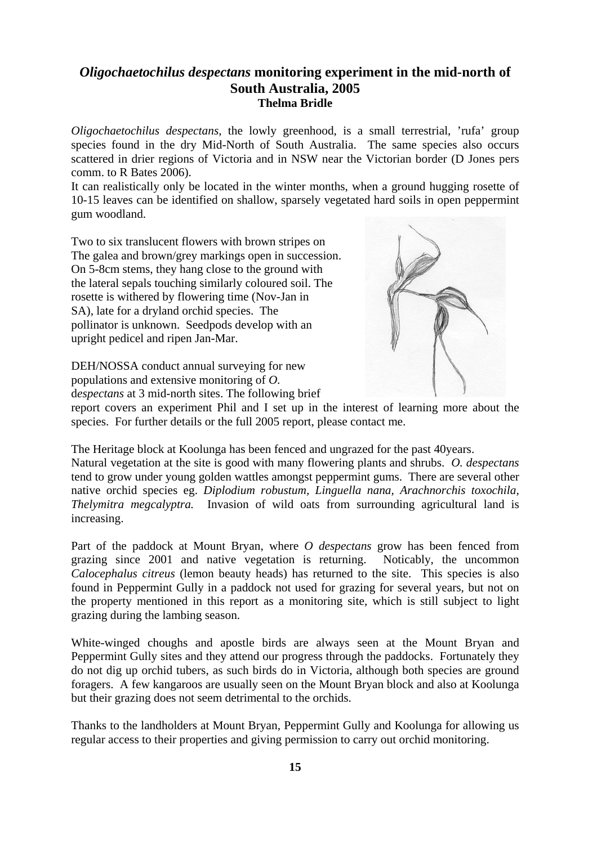# *Oligochaetochilus despectans* **monitoring experiment in the mid-north of South Australia, 2005 Thelma Bridle**

*Oligochaetochilus despectans*, the lowly greenhood, is a small terrestrial, 'rufa' group species found in the dry Mid-North of South Australia. The same species also occurs scattered in drier regions of Victoria and in NSW near the Victorian border (D Jones pers comm. to R Bates 2006).

It can realistically only be located in the winter months, when a ground hugging rosette of 10-15 leaves can be identified on shallow, sparsely vegetated hard soils in open peppermint gum woodland.

Two to six translucent flowers with brown stripes on The galea and brown/grey markings open in succession. On 5-8cm stems, they hang close to the ground with the lateral sepals touching similarly coloured soil. The rosette is withered by flowering time (Nov-Jan in SA), late for a dryland orchid species. The pollinator is unknown. Seedpods develop with an upright pedicel and ripen Jan-Mar.



DEH/NOSSA conduct annual surveying for new populations and extensive monitoring of *O.*  d*espectans* at 3 mid-north sites. The following brief

report covers an experiment Phil and I set up in the interest of learning more about the species. For further details or the full 2005 report, please contact me.

The Heritage block at Koolunga has been fenced and ungrazed for the past 40years. Natural vegetation at the site is good with many flowering plants and shrubs. *O. despectans* tend to grow under young golden wattles amongst peppermint gums. There are several other native orchid species eg. *Diplodium robustum, Linguella nana, Arachnorchis toxochila, Thelymitra megcalyptra.* Invasion of wild oats from surrounding agricultural land is increasing.

Part of the paddock at Mount Bryan, where *O despectans* grow has been fenced from grazing since 2001 and native vegetation is returning. Noticably, the uncommon *Calocephalus citreus* (lemon beauty heads) has returned to the site. This species is also found in Peppermint Gully in a paddock not used for grazing for several years, but not on the property mentioned in this report as a monitoring site, which is still subject to light grazing during the lambing season.

White-winged choughs and apostle birds are always seen at the Mount Bryan and Peppermint Gully sites and they attend our progress through the paddocks. Fortunately they do not dig up orchid tubers, as such birds do in Victoria, although both species are ground foragers. A few kangaroos are usually seen on the Mount Bryan block and also at Koolunga but their grazing does not seem detrimental to the orchids.

Thanks to the landholders at Mount Bryan, Peppermint Gully and Koolunga for allowing us regular access to their properties and giving permission to carry out orchid monitoring.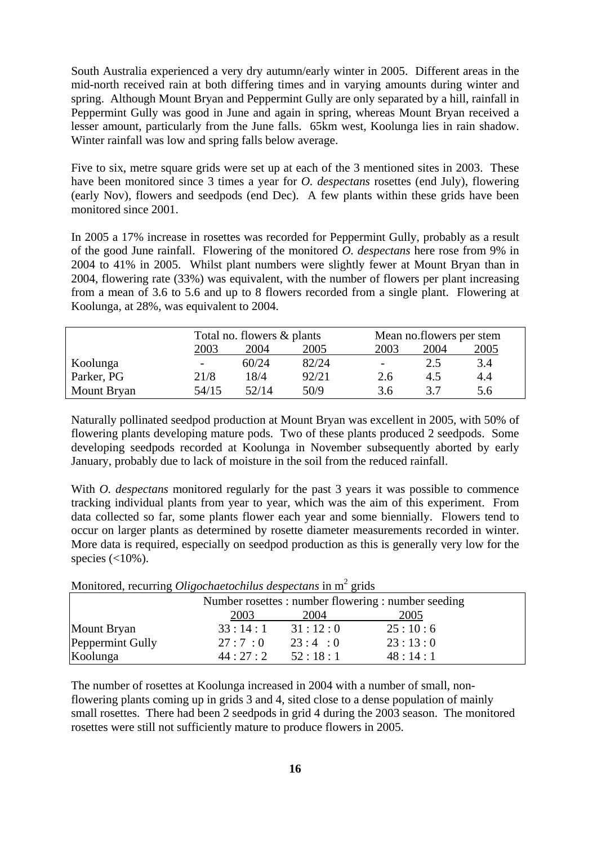South Australia experienced a very dry autumn/early winter in 2005. Different areas in the mid-north received rain at both differing times and in varying amounts during winter and spring. Although Mount Bryan and Peppermint Gully are only separated by a hill, rainfall in Peppermint Gully was good in June and again in spring, whereas Mount Bryan received a lesser amount, particularly from the June falls. 65km west, Koolunga lies in rain shadow. Winter rainfall was low and spring falls below average.

Five to six, metre square grids were set up at each of the 3 mentioned sites in 2003. These have been monitored since 3 times a year for *O. despectans* rosettes (end July), flowering (early Nov), flowers and seedpods (end Dec). A few plants within these grids have been monitored since 2001.

In 2005 a 17% increase in rosettes was recorded for Peppermint Gully, probably as a result of the good June rainfall. Flowering of the monitored *O. despectans* here rose from 9% in 2004 to 41% in 2005. Whilst plant numbers were slightly fewer at Mount Bryan than in 2004, flowering rate (33%) was equivalent, with the number of flowers per plant increasing from a mean of 3.6 to 5.6 and up to 8 flowers recorded from a single plant. Flowering at Koolunga, at 28%, was equivalent to 2004.

|             |                          | Total no. flowers & plants |       |        | Mean no.flowers per stem |      |  |
|-------------|--------------------------|----------------------------|-------|--------|--------------------------|------|--|
|             | 2003                     | 2004                       | 2005  | 2003   | 2004                     | 2005 |  |
| Koolunga    | $\overline{\phantom{a}}$ | 60/24                      | 82/24 | $\sim$ | 2.5                      | 3.4  |  |
| Parker, PG  | 21/8                     | 18/4                       | 92/21 | 2.6    | 4.5                      | 4.4  |  |
| Mount Bryan | 54/15                    | 52/14                      | 50/9  | 3.6    | 37                       | 5.6  |  |

Naturally pollinated seedpod production at Mount Bryan was excellent in 2005, with 50% of flowering plants developing mature pods. Two of these plants produced 2 seedpods. Some developing seedpods recorded at Koolunga in November subsequently aborted by early January, probably due to lack of moisture in the soil from the reduced rainfall.

With *O. despectans* monitored regularly for the past 3 years it was possible to commence tracking individual plants from year to year, which was the aim of this experiment. From data collected so far, some plants flower each year and some biennially. Flowers tend to occur on larger plants as determined by rosette diameter measurements recorded in winter. More data is required, especially on seedpod production as this is generally very low for the species  $\left($  <10%).

| <b>MONTOLOG, Tecurring Ongochaciochinis acspecians in in grius</b> |         |         |         |  |
|--------------------------------------------------------------------|---------|---------|---------|--|
| Number rosettes : number flowering : number seeding                |         |         |         |  |
|                                                                    | 2003    | 2004    | 2005    |  |
| Mount Bryan                                                        | 33:14:1 | 31:12:0 | 25:10:6 |  |
| Peppermint Gully                                                   | 27:7:0  | 23:4:0  | 23:13:0 |  |
| Koolunga                                                           | 44:27:2 | 52:18:1 | 48:14:1 |  |

Monitored, recurring *Oligochaetochilus despectans* in m<sup>2</sup> grids

The number of rosettes at Koolunga increased in 2004 with a number of small, nonflowering plants coming up in grids 3 and 4, sited close to a dense population of mainly small rosettes. There had been 2 seedpods in grid 4 during the 2003 season. The monitored rosettes were still not sufficiently mature to produce flowers in 2005.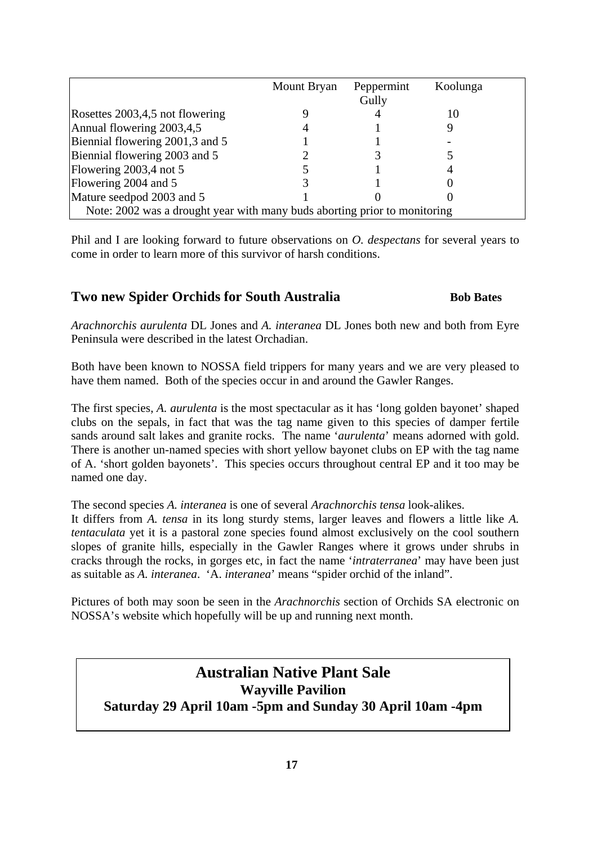|                                                                           | Mount Bryan | Peppermint<br>Gully | Koolunga |  |
|---------------------------------------------------------------------------|-------------|---------------------|----------|--|
| Rosettes 2003,4,5 not flowering                                           |             |                     |          |  |
| Annual flowering 2003,4,5                                                 |             |                     |          |  |
| Biennial flowering 2001,3 and 5                                           |             |                     |          |  |
| Biennial flowering 2003 and 5                                             |             |                     |          |  |
| Flowering 2003,4 not 5                                                    |             |                     |          |  |
| Flowering 2004 and 5                                                      |             |                     |          |  |
| Mature seedpod 2003 and 5                                                 |             |                     |          |  |
| Note: 2002 was a drought year with many buds aborting prior to monitoring |             |                     |          |  |

Phil and I are looking forward to future observations on *O. despectans* for several years to come in order to learn more of this survivor of harsh conditions.

# **Two new Spider Orchids for South Australia Bob Bates**

*Arachnorchis aurulenta* DL Jones and *A. interanea* DL Jones both new and both from Eyre Peninsula were described in the latest Orchadian.

Both have been known to NOSSA field trippers for many years and we are very pleased to have them named. Both of the species occur in and around the Gawler Ranges.

The first species, *A. aurulenta* is the most spectacular as it has 'long golden bayonet' shaped clubs on the sepals, in fact that was the tag name given to this species of damper fertile sands around salt lakes and granite rocks. The name '*aurulenta*' means adorned with gold. There is another un-named species with short yellow bayonet clubs on EP with the tag name of A. 'short golden bayonets'. This species occurs throughout central EP and it too may be named one day.

The second species *A. interanea* is one of several *Arachnorchis tensa* look-alikes.

It differs from *A. tensa* in its long sturdy stems, larger leaves and flowers a little like *A. tentaculata* yet it is a pastoral zone species found almost exclusively on the cool southern slopes of granite hills, especially in the Gawler Ranges where it grows under shrubs in cracks through the rocks, in gorges etc, in fact the name '*intraterranea*' may have been just as suitable as *A. interanea*. 'A. *interanea*' means "spider orchid of the inland".

Pictures of both may soon be seen in the *Arachnorchis* section of Orchids SA electronic on NOSSA's website which hopefully will be up and running next month.

# **Australian Native Plant Sale Wayville Pavilion Saturday 29 April 10am -5pm and Sunday 30 April 10am -4pm**